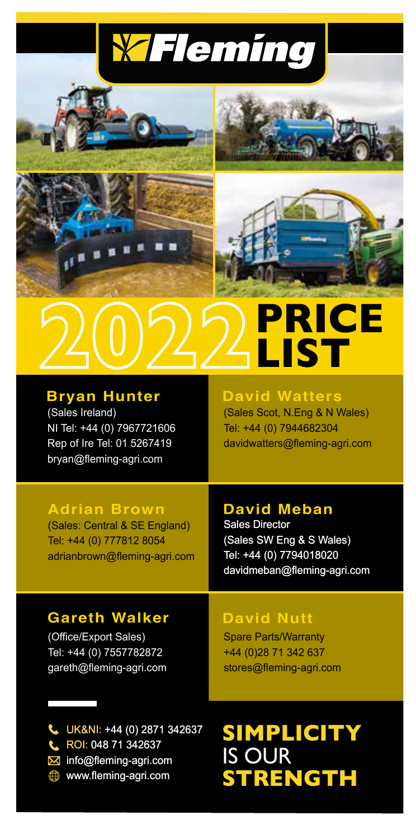



## **PRICE LIST**

### (Sales Ireland)

NI Tel: +44 (0) 7967721606 Rep of Ire Tel: 01 5267419 bryan@fleming-agri.com

#### **Bryan Hunter David Watters**

(Sales Scot, N.Eng & N Wales) Tel: +44 (0) 7944682304 davidwatters@fleming-agri.com

#### **Adrian Brown**

(Sales: Central & SE England) Tel: +44 (0) 777812 8054 adrianbrown@fleming-agri.com

#### **David Meban**

Sales Director (Sales SW Eng & S Wales) Tel: +44 (0) 7794018020 davidmeban@fleming-agri.com

#### **Gareth Walker**

(Office/Export Sales) Tel: +44 (0) 7557782872 gareth@fleming-agri.com

#### **David Nutt**

Spare Parts/Warranty +44 (0)28 71 342 637 stores@fleming-agri.com

UK&NI: +44 (0) 2871 342637 UK&NI: ROI: 048 71 342637 info@fleming-agri.com www.fleming-agri.com

ROI: **SIMPLICITY** IS OUR **STRENGTH**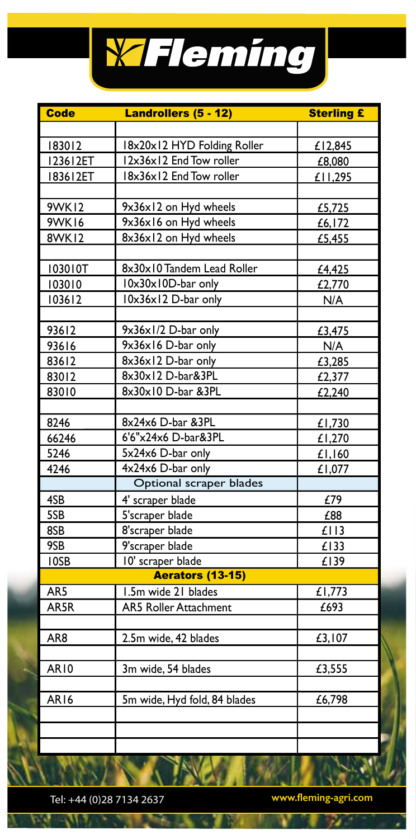

| <b>Code</b>      | Landrollers (5 - 12)         | <b>Sterling £</b> |
|------------------|------------------------------|-------------------|
|                  |                              |                   |
| 183012           | 18x20x12 HYD Folding Roller  | £12,845           |
| 123612ET         | 12x36x12 End Tow roller      | £8,080            |
| 183612ET         | 18x36x12 End Tow roller      | £11,295           |
|                  |                              |                   |
| <b>9WK12</b>     | 9x36x12 on Hyd wheels        | £5,725            |
| <b>9WK16</b>     | 9x36x16 on Hyd wheels        | £6,172            |
| <b>8WK12</b>     | 8x36x12 on Hyd wheels        | £5,455            |
|                  |                              |                   |
| 103010T          | 8x30x10 Tandem Lead Roller   | £4,425            |
| 103010           | $10x30x10D-bar$ only         | £2,770            |
| 103612           | 10x36x12 D-bar only          | N/A               |
|                  |                              |                   |
| 93612            | 9x36x1/2 D-bar only          | £3,475            |
| 93616            | 9x36x16 D-bar only           | N/A               |
| 83612            | 8x36x12 D-bar only           | £3,285            |
| 83012            | 8x30x12 D-bar&3PL            | £2,377            |
| 83010            | 8x30x10 D-bar &3PL           | £2,240            |
|                  |                              |                   |
| 8246             | 8x24x6 D-bar &3PL            | £1,730            |
| 66246            | 6'6"x24x6 D-bar&3PL          | £1,270            |
| 5246             | $5x24x6$ D-bar only          | £1,160            |
| 4246             | 4x24x6 D-bar only            | £1,077            |
|                  | Optional scraper blades      |                   |
| 4SB              | 4' scraper blade             | £79               |
| 5SB              | 5'scraper blade              | £88               |
| 8SB              | 8'scraper blade              | £113              |
| 9SB              | 9'scraper blade              | £133              |
| 10SB             | 10' scraper blade            | £139              |
|                  | Aerators (13-15)             |                   |
| AR5              | 1.5m wide 21 blades          | £1,773            |
| AR5R             | <b>AR5 Roller Attachment</b> | E693              |
|                  |                              |                   |
| AR8              | 2.5m wide, 42 blades         | £3,107            |
|                  |                              |                   |
| AR10             | 3m wide, 54 blades           | £3,555            |
|                  |                              |                   |
| AR <sub>16</sub> | 5m wide, Hyd fold, 84 blades | £6,798            |
|                  |                              |                   |
|                  |                              |                   |
|                  |                              |                   |

Tel: +44 (0)28 7134 2637 **www.fleming-agri.com**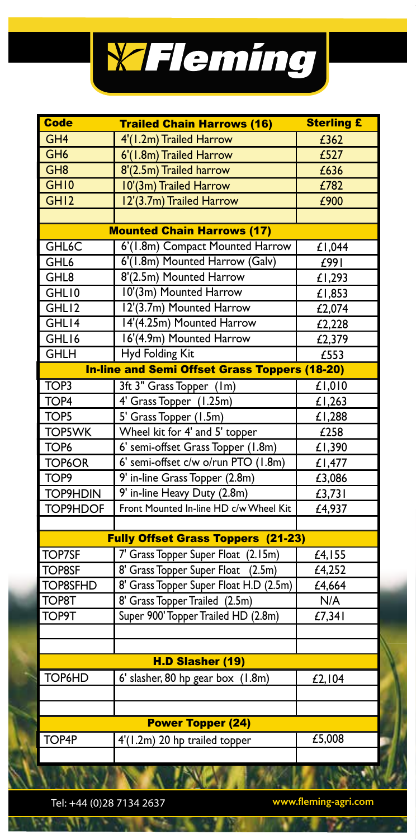

| <b>Code</b>        | <b>Trailed Chain Harrows (16)</b>                    | <b>Sterling £</b>  |
|--------------------|------------------------------------------------------|--------------------|
| GH <sub>4</sub>    | 4'(1.2m) Trailed Harrow                              | £362               |
| GH <sub>6</sub>    | 6'(1.8m) Trailed Harrow                              | E527               |
| GH8                | 8'(2.5m) Trailed harrow                              | £636               |
| GH <sub>10</sub>   | 10'(3m) Trailed Harrow                               | £782               |
| GH12               | 12'(3.7m) Trailed Harrow                             | £900               |
|                    |                                                      |                    |
|                    | <b>Mounted Chain Harrows (17)</b>                    |                    |
| GHL <sub>6</sub> C | 6'(1.8m) Compact Mounted Harrow                      | £1,044             |
| GHL <sub>6</sub>   | 6'(1.8m) Mounted Harrow (Galv)                       | E991               |
| GHL8               | 8'(2.5m) Mounted Harrow                              | £1,293             |
| GHL10              | 10'(3m) Mounted Harrow                               | E1,853             |
| GHL12              | 12'(3.7m) Mounted Harrow                             | £2,074             |
| GHL14              | 14'(4.25m) Mounted Harrow                            | £2,228             |
| GHL16              | 16'(4.9m) Mounted Harrow                             | £2,379             |
| <b>GHLH</b>        | <b>Hyd Folding Kit</b>                               | £553               |
|                    | <b>In-line and Semi Offset Grass Toppers (18-20)</b> |                    |
| TOP <sub>3</sub>   | 3ft 3" Grass Topper (1m)                             | £1,010             |
| TOP <sub>4</sub>   | 4' Grass Topper (1.25m)                              | £1,263             |
| TOP5               | 5' Grass Topper (1.5m)                               | £1,288             |
| <b>TOP5WK</b>      | Wheel kit for 4' and 5' topper                       | £258               |
| TOP <sub>6</sub>   | 6' semi-offset Grass Topper (1.8m)                   | £1,390             |
| TOP6OR             | 6' semi-offset c/w o/run PTO (1.8m)                  | £1,477             |
| TOP <sub>9</sub>   | 9' in-line Grass Topper (2.8m)                       | £3,086             |
| <b>TOP9HDIN</b>    | 9' in-line Heavy Duty (2.8m)                         | £3,731             |
| TOP9HDOF           | Front Mounted In-line HD c/w Wheel Kit               | £4,937             |
|                    |                                                      |                    |
|                    | <b>Fully Offset Grass Toppers (21-23)</b>            |                    |
| <b>TOP7SF</b>      | 7' Grass Topper Super Float (2.15m)                  | £4,155             |
| <b>TOP8SF</b>      | 8' Grass Topper Super Float<br>(2.5m)                | £4,252             |
| <b>TOP8SFHD</b>    | 8' Grass Topper Super Float H.D (2.5m)               | $\frac{1}{64,664}$ |
| TOP <sub>8T</sub>  | 8' Grass Topper Trailed (2.5m)                       | N/A                |
| <b>TOP9T</b>       | Super 900' Topper Trailed HD (2.8m)                  | E7,341             |
|                    |                                                      |                    |
|                    |                                                      |                    |
|                    | H.D Slasher (19)                                     |                    |
| TOP6HD             | 6' slasher, 80 hp gear box (1.8m)                    | £2,104             |
|                    |                                                      |                    |
|                    |                                                      |                    |
|                    | <b>Power Topper (24)</b>                             |                    |
| TOP4P              | 4'(1.2m) 20 hp trailed topper                        | £5,008             |
|                    |                                                      |                    |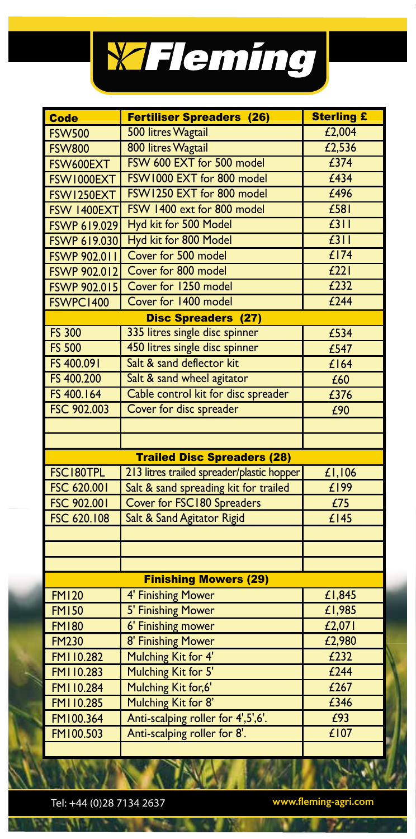

| <b>Code</b>         | <b>Fertiliser Spreaders (26)</b>           | <b>Sterling £</b> |
|---------------------|--------------------------------------------|-------------------|
| <b>FSW500</b>       | 500 litres Wagtail                         | £2,004            |
| <b>FSW800</b>       | 800 litres Wagtail                         | £2,536            |
| FSW600EXT           | FSW 600 EXT for 500 model                  | £374              |
| FSW1000EXT          | FSW1000 EXT for 800 model                  | £434              |
| FSW1250EXT          | FSW1250 EXT for 800 model                  | £496              |
| FSW 1400EXT         | FSW 1400 ext for 800 model                 | $E$ 581           |
| FSWP 619.029        | Hyd kit for 500 Model                      | f311              |
| <b>FSWP 619.030</b> | Hyd kit for 800 Model                      | f311              |
| <b>FSWP 902.011</b> | Cover for 500 model                        | £174              |
| FSWP 902.012        | Cover for 800 model                        | E221              |
| <b>FSWP 902.015</b> | Cover for 1250 model                       | E232              |
| FSWPC1400           | Cover for 1400 model                       | $f$ 244           |
|                     | <b>Disc Spreaders (27)</b>                 |                   |
| <b>FS 300</b>       | 335 litres single disc spinner             | £534              |
| <b>FS 500</b>       | 450 litres single disc spinner             | £547              |
| FS 400.091          | Salt & sand deflector kit                  | £164              |
| FS 400.200          | Salt & sand wheel agitator                 | £60               |
| FS 400.164          | Cable control kit for disc spreader        | £376              |
| FSC 902.003         | Cover for disc spreader                    | £90               |
|                     |                                            |                   |
|                     |                                            |                   |
|                     | <b>Trailed Disc Spreaders (28)</b>         |                   |
| FSC180TPL           | 213 litres trailed spreader/plastic hopper | £1,106            |
| FSC 620.001         | Salt & sand spreading kit for trailed      | £199              |
| FSC 902.001         | Cover for FSC180 Spreaders                 | £75               |
| FSC 620.108         | Salt & Sand Agitator Rigid                 | £145              |
|                     |                                            |                   |
|                     |                                            |                   |
|                     |                                            |                   |
|                     | <b>Finishing Mowers (29)</b>               |                   |
| <b>FM120</b>        | 4' Finishing Mower                         | £1,845            |
| <b>FM150</b>        | 5' Finishing Mower                         | E1,985            |
| <b>FM180</b>        | <b>6' Finishing mower</b>                  | £2,071            |
| <b>FM230</b>        | 8' Finishing Mower                         | £2,980            |
| FMI10.282           | Mulching Kit for 4'                        | E232              |
| FMI10.283           | Mulching Kit for 5'                        | £244              |
| FM110.284           | Mulching Kit for, 6'                       | £267              |
| FMI10.285           | Mulching Kit for 8'                        | £346              |
| FM100.364           | Anti-scalping roller for 4',5',6'.         | £93               |
| FM100.503           | Anti-scalping roller for 8'.               | £107              |
|                     |                                            |                   |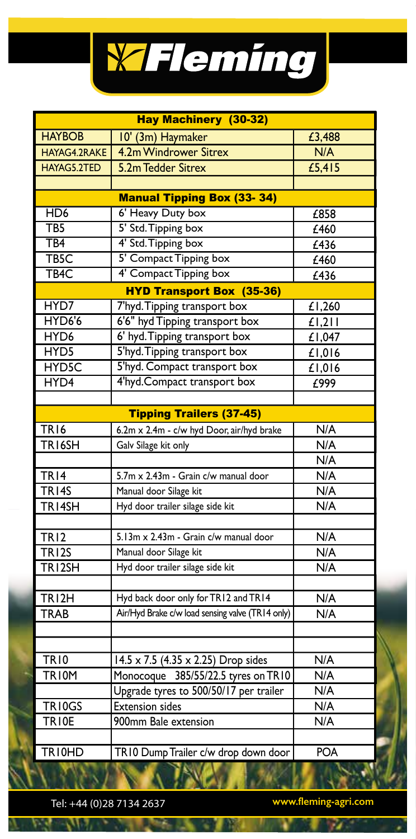

| <b>HAYBOB</b><br>10' (3m) Haymaker<br>£3,488<br>4.2m Windrower Sitrex<br>HAYAG4.2RAKE<br>N/A<br>HAYAG5.2TED<br>£5,415<br>5.2m Tedder Sitrex<br><b>Manual Tipping Box (33-34)</b><br>HD <sub>6</sub><br>6' Heavy Duty box<br>£858<br>5' Std. Tipping box<br>TB5<br>£460<br>4' Std. Tipping box<br>TB4<br>$\overline{f436}$<br>5' Compact Tipping box<br>TB <sub>5</sub> C<br>£460<br>4' Compact Tipping box<br>TB <sub>4</sub> C<br>£436<br><b>HYD Transport Box (35-36)</b><br>7'hyd. Tipping transport box<br>HYD7<br>£1,260<br>HYD6'6<br>6'6" hyd Tipping transport box<br>f1,211<br>HYD <sub>6</sub><br>6' hyd. Tipping transport box<br>£1,047<br>HYD <sub>5</sub><br>5'hyd. Tipping transport box<br>£1,016<br>5'hyd. Compact transport box<br>HYD5C<br>£1,016<br>4'hyd.Compact transport box<br>HYD4<br>£999<br><b>Tipping Trailers (37-45)</b><br>6.2m x 2.4m - c/w hyd Door, air/hyd brake<br>N/A<br>TR <sub>16</sub> |
|-------------------------------------------------------------------------------------------------------------------------------------------------------------------------------------------------------------------------------------------------------------------------------------------------------------------------------------------------------------------------------------------------------------------------------------------------------------------------------------------------------------------------------------------------------------------------------------------------------------------------------------------------------------------------------------------------------------------------------------------------------------------------------------------------------------------------------------------------------------------------------------------------------------------------------|
|                                                                                                                                                                                                                                                                                                                                                                                                                                                                                                                                                                                                                                                                                                                                                                                                                                                                                                                               |
|                                                                                                                                                                                                                                                                                                                                                                                                                                                                                                                                                                                                                                                                                                                                                                                                                                                                                                                               |
|                                                                                                                                                                                                                                                                                                                                                                                                                                                                                                                                                                                                                                                                                                                                                                                                                                                                                                                               |
|                                                                                                                                                                                                                                                                                                                                                                                                                                                                                                                                                                                                                                                                                                                                                                                                                                                                                                                               |
|                                                                                                                                                                                                                                                                                                                                                                                                                                                                                                                                                                                                                                                                                                                                                                                                                                                                                                                               |
|                                                                                                                                                                                                                                                                                                                                                                                                                                                                                                                                                                                                                                                                                                                                                                                                                                                                                                                               |
|                                                                                                                                                                                                                                                                                                                                                                                                                                                                                                                                                                                                                                                                                                                                                                                                                                                                                                                               |
|                                                                                                                                                                                                                                                                                                                                                                                                                                                                                                                                                                                                                                                                                                                                                                                                                                                                                                                               |
|                                                                                                                                                                                                                                                                                                                                                                                                                                                                                                                                                                                                                                                                                                                                                                                                                                                                                                                               |
|                                                                                                                                                                                                                                                                                                                                                                                                                                                                                                                                                                                                                                                                                                                                                                                                                                                                                                                               |
|                                                                                                                                                                                                                                                                                                                                                                                                                                                                                                                                                                                                                                                                                                                                                                                                                                                                                                                               |
|                                                                                                                                                                                                                                                                                                                                                                                                                                                                                                                                                                                                                                                                                                                                                                                                                                                                                                                               |
|                                                                                                                                                                                                                                                                                                                                                                                                                                                                                                                                                                                                                                                                                                                                                                                                                                                                                                                               |
|                                                                                                                                                                                                                                                                                                                                                                                                                                                                                                                                                                                                                                                                                                                                                                                                                                                                                                                               |
|                                                                                                                                                                                                                                                                                                                                                                                                                                                                                                                                                                                                                                                                                                                                                                                                                                                                                                                               |
|                                                                                                                                                                                                                                                                                                                                                                                                                                                                                                                                                                                                                                                                                                                                                                                                                                                                                                                               |
|                                                                                                                                                                                                                                                                                                                                                                                                                                                                                                                                                                                                                                                                                                                                                                                                                                                                                                                               |
|                                                                                                                                                                                                                                                                                                                                                                                                                                                                                                                                                                                                                                                                                                                                                                                                                                                                                                                               |
|                                                                                                                                                                                                                                                                                                                                                                                                                                                                                                                                                                                                                                                                                                                                                                                                                                                                                                                               |
|                                                                                                                                                                                                                                                                                                                                                                                                                                                                                                                                                                                                                                                                                                                                                                                                                                                                                                                               |
| TRI <sub>6SH</sub><br>Galv Silage kit only<br>N/A                                                                                                                                                                                                                                                                                                                                                                                                                                                                                                                                                                                                                                                                                                                                                                                                                                                                             |
| N/A                                                                                                                                                                                                                                                                                                                                                                                                                                                                                                                                                                                                                                                                                                                                                                                                                                                                                                                           |
| TR <sub>14</sub><br>5.7m x 2.43m - Grain c/w manual door<br>N/A                                                                                                                                                                                                                                                                                                                                                                                                                                                                                                                                                                                                                                                                                                                                                                                                                                                               |
| TR <sub>14S</sub><br>Manual door Silage kit<br>N/A                                                                                                                                                                                                                                                                                                                                                                                                                                                                                                                                                                                                                                                                                                                                                                                                                                                                            |
| TR14SH<br>N/A<br>Hyd door trailer silage side kit                                                                                                                                                                                                                                                                                                                                                                                                                                                                                                                                                                                                                                                                                                                                                                                                                                                                             |
|                                                                                                                                                                                                                                                                                                                                                                                                                                                                                                                                                                                                                                                                                                                                                                                                                                                                                                                               |
| TR <sub>12</sub><br>5.13m x 2.43m - Grain c/w manual door<br>N/A                                                                                                                                                                                                                                                                                                                                                                                                                                                                                                                                                                                                                                                                                                                                                                                                                                                              |
| TRI2S<br>N/A<br>Manual door Silage kit                                                                                                                                                                                                                                                                                                                                                                                                                                                                                                                                                                                                                                                                                                                                                                                                                                                                                        |
| Hyd door trailer silage side kit<br>TRI2SH<br>N/A                                                                                                                                                                                                                                                                                                                                                                                                                                                                                                                                                                                                                                                                                                                                                                                                                                                                             |
|                                                                                                                                                                                                                                                                                                                                                                                                                                                                                                                                                                                                                                                                                                                                                                                                                                                                                                                               |
| Hyd back door only for TR12 and TR14<br>TRI2H<br>N/A                                                                                                                                                                                                                                                                                                                                                                                                                                                                                                                                                                                                                                                                                                                                                                                                                                                                          |
| Air/Hyd Brake c/w load sensing valve (TR14 only)<br>N/A<br><b>TRAB</b>                                                                                                                                                                                                                                                                                                                                                                                                                                                                                                                                                                                                                                                                                                                                                                                                                                                        |
|                                                                                                                                                                                                                                                                                                                                                                                                                                                                                                                                                                                                                                                                                                                                                                                                                                                                                                                               |
|                                                                                                                                                                                                                                                                                                                                                                                                                                                                                                                                                                                                                                                                                                                                                                                                                                                                                                                               |
| <b>TR10</b><br>N/A<br>14.5 x 7.5 (4.35 x 2.25) Drop sides                                                                                                                                                                                                                                                                                                                                                                                                                                                                                                                                                                                                                                                                                                                                                                                                                                                                     |
| Monocoque 385/55/22.5 tyres on TR10<br><b>TRIOM</b><br>N/A                                                                                                                                                                                                                                                                                                                                                                                                                                                                                                                                                                                                                                                                                                                                                                                                                                                                    |
| Upgrade tyres to 500/50/17 per trailer<br>N/A                                                                                                                                                                                                                                                                                                                                                                                                                                                                                                                                                                                                                                                                                                                                                                                                                                                                                 |
| <b>Extension sides</b><br>TRI0GS<br>N/A                                                                                                                                                                                                                                                                                                                                                                                                                                                                                                                                                                                                                                                                                                                                                                                                                                                                                       |
| 900mm Bale extension<br>TRI0E<br>N/A                                                                                                                                                                                                                                                                                                                                                                                                                                                                                                                                                                                                                                                                                                                                                                                                                                                                                          |
|                                                                                                                                                                                                                                                                                                                                                                                                                                                                                                                                                                                                                                                                                                                                                                                                                                                                                                                               |
| TR10HD<br>TR10 Dump Trailer c/w drop down door<br><b>POA</b><br><b>TANAL</b><br>W.                                                                                                                                                                                                                                                                                                                                                                                                                                                                                                                                                                                                                                                                                                                                                                                                                                            |

П

вZ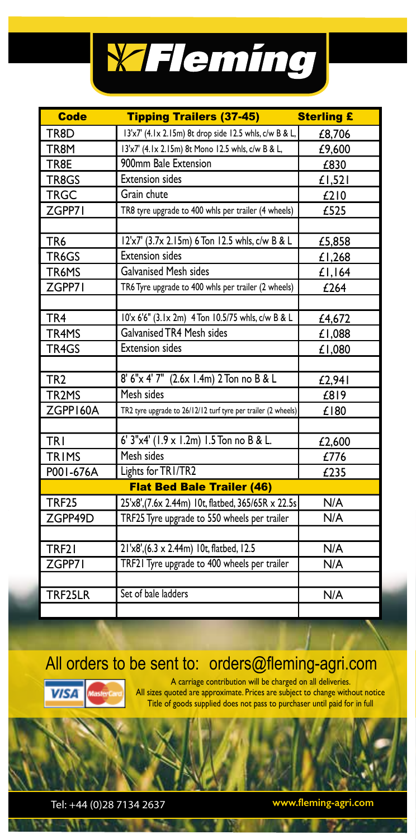

| <b>Code</b>        | <b>Tipping Trailers (37-45)</b>                               | <b>Sterling £</b> |
|--------------------|---------------------------------------------------------------|-------------------|
| TR8D               | 13'x7' (4.1x 2.15m) 8t drop side 12.5 whls, c/w B & L,        | £8,706            |
| TR8M               | 13'x7' (4.1x 2.15m) 8t Mono 12.5 whls, c/w B & L,             | £9,600            |
| TR8E               | 900mm Bale Extension                                          | £830              |
| TR8GS              | <b>Extension sides</b>                                        | $£$ l,521         |
| <b>TRGC</b>        | Grain chute                                                   | £210              |
| ZGPP71             | TR8 tyre upgrade to 400 whls per trailer (4 wheels)           | £525              |
|                    |                                                               |                   |
| TR <sub>6</sub>    | 12'x7' (3.7x 2.15m) 6 Ton 12.5 whls, c/w B & L                | £5,858            |
| TR6GS              | <b>Extension sides</b>                                        | £1,268            |
| TR6MS              | <b>Galvanised Mesh sides</b>                                  | £1,164            |
| ZGPP71             | TR6 Tyre upgrade to 400 whls per trailer (2 wheels)           | £264              |
|                    |                                                               |                   |
| TR <sub>4</sub>    | 10'x 6'6" (3.1x 2m) 4 Ton 10.5/75 whls, c/w B & L             | £4,672            |
| TR4MS              | <b>Galvanised TR4 Mesh sides</b>                              | £1,088            |
| TR4GS              | <b>Extension sides</b>                                        | £1,080            |
|                    |                                                               |                   |
| TR <sub>2</sub>    | 8' 6"x 4' 7" (2.6x 1.4m) 2 Ton no B & L                       | £2.941            |
| TR <sub>2</sub> MS | Mesh sides                                                    | £819              |
| ZGPP160A           | TR2 tyre upgrade to 26/12/12 turf tyre per trailer (2 wheels) | £180              |
|                    |                                                               |                   |
| TRI                | 6' 3"x4' (1.9 x 1.2m) 1.5 Ton no B & L.                       | £2,600            |
| TRIMS              | Mesh sides                                                    | £776              |
| P001-676A          | Lights for TRI/TR2                                            | £235              |
|                    | <b>Flat Bed Bale Trailer (46)</b>                             |                   |
| <b>TRF25</b>       | 25'x8', (7.6x 2.44m) 10t, flatbed, 365/65R x 22.5s            | N/A               |
| ZGPP49D            | TRF25 Tyre upgrade to 550 wheels per trailer                  | N/A               |
|                    |                                                               |                   |
| TRF21              | 21'x8', (6.3 x 2.44m) 10t, flatbed, 12.5                      | N/A               |
| ZGPP71             | TRF21 Tyre upgrade to 400 wheels per trailer                  | N/A               |
|                    |                                                               |                   |
| TRF25LR            | Set of bale ladders                                           | N/A               |
|                    |                                                               |                   |

#### All orders to be sent to: orders@fleming-agri.com



w

A carriage contribution will be charged on all deliveries. All sizes quoted are approximate. Prices are subject to change without notice Title of goods supplied does not pass to purchaser until paid for in full

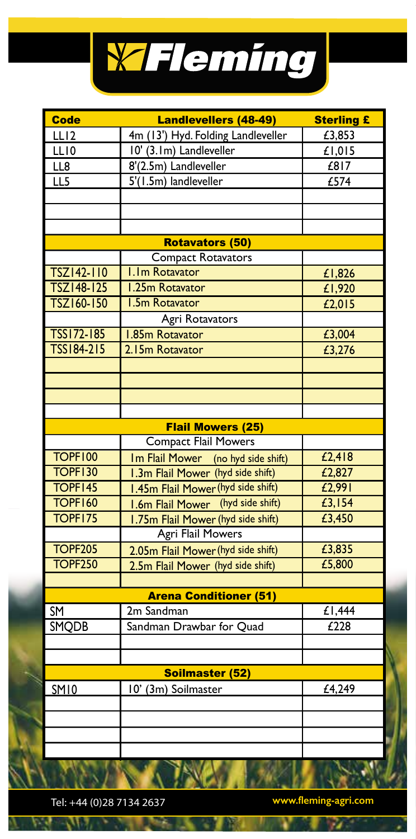

| <b>Code</b>    | <b>Landlevellers (48-49)</b>       | <b>Sterling £</b> |
|----------------|------------------------------------|-------------------|
| LLI2           | 4m (13') Hyd. Folding Landleveller | £3,853            |
| LL10           | 10' (3.1m) Landleveller            | £1,015            |
| LL8            | 8'(2.5m) Landleveller              | £817              |
| LL5            | 5'(1.5m) landleveller              | £574              |
|                |                                    |                   |
|                |                                    |                   |
|                |                                    |                   |
|                | <b>Rotavators (50)</b>             |                   |
|                | <b>Compact Rotavators</b>          |                   |
| TSZ142-110     | I.Im Rotavator                     | £1,826            |
| TSZ148-125     | 1.25m Rotavator                    | £1,920            |
| TSZ160-150     | <b>I.5m Rotavator</b>              | £2,015            |
|                | <b>Agri Rotavators</b>             |                   |
| TSS172-185     | <b>I.85m Rotavator</b>             | £3,004            |
| TSS184-215     | 2.15m Rotavator                    | £3,276            |
|                |                                    |                   |
|                |                                    |                   |
|                |                                    |                   |
|                |                                    |                   |
|                | <b>Flail Mowers (25)</b>           |                   |
|                | <b>Compact Flail Mowers</b>        |                   |
| <b>TOPF100</b> | Im Flail Mower (no hyd side shift) | £2,418            |
| <b>TOPF130</b> | 1.3m Flail Mower (hyd side shift)  | £2,827            |
| TOPF145        | I.45m Flail Mower (hyd side shift) | £2,991            |
| <b>TOPF160</b> | 1.6m Flail Mower (hyd side shift)  | £3,154            |
| TOPF175        | 1.75m Flail Mower (hyd side shift) | £3,450            |
|                | Agri Flail Mowers                  |                   |
| <b>TOPF205</b> | 2.05m Flail Mower (hyd side shift) | £3,835            |
| <b>TOPF250</b> | 2.5m Flail Mower (hyd side shift)  | £5,800            |
|                |                                    |                   |
|                | <b>Arena Conditioner (51)</b>      |                   |
| SM             | 2m Sandman                         | E1,444            |
| SMQDB          | Sandman Drawbar for Quad           | £228              |
|                |                                    |                   |
|                |                                    |                   |
|                | Soilmaster (52)                    |                   |
| SM10           | 10' (3m) Soilmaster                | £4,249            |
|                |                                    |                   |
|                |                                    |                   |
|                |                                    |                   |
|                |                                    |                   |
|                |                                    |                   |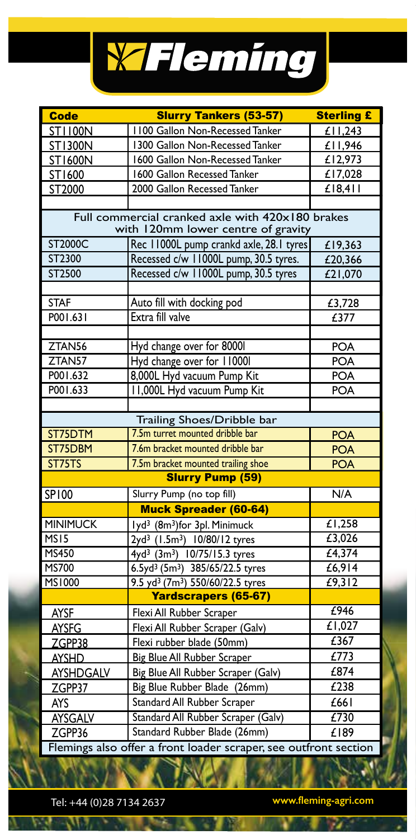# WFleming

| <b>Code</b>        | <b>Slurry Tankers (53-57)</b>                                                          | <b>Sterling £</b>    |
|--------------------|----------------------------------------------------------------------------------------|----------------------|
| <b>ST1100N</b>     | 1100 Gallon Non-Recessed Tanker                                                        | $\overline{f11,243}$ |
| <b>ST1300N</b>     | 1300 Gallon Non-Recessed Tanker                                                        | £11,946              |
| ST1600N            | 1600 Gallon Non-Recessed Tanker                                                        | £12,973              |
| ST1600             | 1600 Gallon Recessed Tanker                                                            | £17,028              |
| ST2000             | 2000 Gallon Recessed Tanker                                                            | $£$ $ 8,4 $          |
|                    |                                                                                        |                      |
|                    | Full commercial cranked axle with 420x180 brakes<br>with 120mm lower centre of gravity |                      |
| ST2000C            | Rec 11000L pump crankd axle, 28.1 tyres                                                | £19,363              |
| ST2300             | Recessed c/w 11000L pump, 30.5 tyres.                                                  | £20,366              |
| ST2500             | Recessed c/w 11000L pump, 30.5 tyres                                                   | £21,070              |
|                    |                                                                                        |                      |
| <b>STAF</b>        | Auto fill with docking pod                                                             | £3,728               |
| P001.631           | Extra fill valve                                                                       | £377                 |
|                    |                                                                                        |                      |
| ZTAN <sub>56</sub> | Hyd change over for 80001                                                              | <b>POA</b>           |
| ZTAN <sub>57</sub> | Hyd change over for 110001                                                             | POA                  |
| P001.632           | 8,000L Hyd vacuum Pump Kit                                                             | <b>POA</b>           |
| P001.633           | 11,000L Hyd vacuum Pump Kit                                                            | POA                  |
|                    |                                                                                        |                      |
|                    | Trailing Shoes/Dribble bar                                                             |                      |
| ST75DTM            | 7.5m turret mounted dribble bar                                                        | <b>POA</b>           |
| ST75DBM            | 7.6m bracket mounted dribble bar                                                       | <b>POA</b>           |
| ST75TS             | 7.5m bracket mounted trailing shoe                                                     | <b>POA</b>           |
|                    | <b>Slurry Pump (59)</b>                                                                |                      |
| <b>SP100</b>       | Slurry Pump (no top fill)                                                              | N/A                  |
|                    | <b>Muck Spreader (60-64)</b>                                                           |                      |
| <b>MINIMUCK</b>    | lyd <sup>3</sup> (8m <sup>3</sup> )for 3pl. Minimuck                                   | £1,258               |
| MS <sub>15</sub>   | 2yd <sup>3</sup> (1.5m <sup>3</sup> ) 10/80/12 tyres                                   | £3,026               |
| <b>MS450</b>       | 4yd <sup>3</sup> (3m <sup>3</sup> ) 10/75/15.3 tyres                                   | £4,374               |
| <b>MS700</b>       | 6.5yd <sup>3</sup> (5m <sup>3</sup> ) 385/65/22.5 tyres                                | E6,914               |
| <b>MS1000</b>      | 9.5 yd <sup>3</sup> (7m <sup>3</sup> ) 550/60/22.5 tyres                               | £9,312               |
|                    | Yardscrapers (65-67)                                                                   |                      |
| <b>AYSF</b>        | Flexi All Rubber Scraper                                                               | £946                 |
| <b>AYSFG</b>       | Flexi All Rubber Scraper (Galv)                                                        | £1,027               |
| ZGPP38             | Flexi rubber blade (50mm)                                                              | $E$ 367              |
| <b>AYSHD</b>       | <b>Big Blue All Rubber Scraper</b>                                                     | £773                 |
| <b>AYSHDGALV</b>   | Big Blue All Rubber Scraper (Galv)                                                     | £874                 |
| ZGPP37             | Big Blue Rubber Blade (26mm)                                                           | £238                 |
| <b>AYS</b>         | Standard All Rubber Scraper                                                            | £661                 |
| <b>AYSGALV</b>     | Standard All Rubber Scraper (Galv)                                                     | $E$ 730              |
| ZGPP36             | Standard Rubber Blade (26mm)                                                           | £189                 |
|                    | Flemings also offer a front loader scraper, see outfront section                       |                      |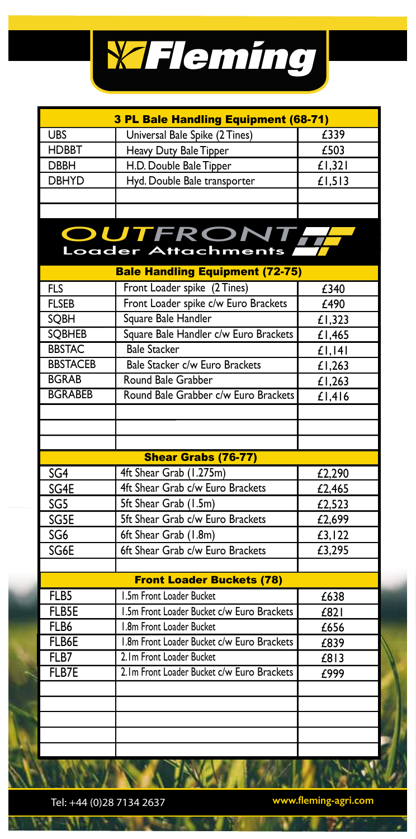

| 3 PL Bale Handling Equipment (68-71)                                             |                                            |        |
|----------------------------------------------------------------------------------|--------------------------------------------|--------|
| <b>UBS</b>                                                                       | Universal Bale Spike (2 Tines)             | £339   |
| <b>HDBBT</b>                                                                     | Heavy Duty Bale Tipper                     | £503   |
| <b>DBBH</b>                                                                      | H.D. Double Bale Tipper                    | £1,321 |
| <b>DBHYD</b>                                                                     | Hyd. Double Bale transporter               | £1,513 |
|                                                                                  |                                            |        |
|                                                                                  |                                            |        |
| <b>OUTFRONT,</b><br>Loader Attachments<br><b>Bale Handling Equipment (72-75)</b> |                                            |        |
|                                                                                  | Front Loader spike (2 Tines)               |        |
| <b>FLS</b>                                                                       | Front Loader spike c/w Euro Brackets       | £340   |
| <b>FLSEB</b>                                                                     | Square Bale Handler                        | £490   |
| SQBH                                                                             |                                            | £1,323 |
| <b>SQBHEB</b>                                                                    | Square Bale Handler c/w Euro Brackets      | £1,465 |
| <b>BBSTAC</b>                                                                    | <b>Bale Stacker</b>                        | £1,141 |
| <b>BBSTACEB</b>                                                                  | Bale Stacker c/w Euro Brackets             | £1,263 |
| <b>BGRAB</b>                                                                     | Round Bale Grabber                         | £1,263 |
| <b>BGRABEB</b>                                                                   | Round Bale Grabber c/w Euro Brackets       | £1,416 |
|                                                                                  |                                            |        |
|                                                                                  |                                            |        |
|                                                                                  |                                            |        |
|                                                                                  | <b>Shear Grabs (76-77)</b>                 |        |
| SG <sub>4</sub>                                                                  | 4ft Shear Grab (1.275m)                    | £2,290 |
| SG4E                                                                             | 4ft Shear Grab c/w Euro Brackets           | £2,465 |
| SG5                                                                              | 5ft Shear Grab (1.5m)                      | £2,523 |
| SG5E                                                                             | 5ft Shear Grab c/w Euro Brackets           | £2,699 |
| SG6                                                                              | 6ft Shear Grab (1.8m)                      | £3,122 |
| SG6E                                                                             | 6ft Shear Grab c/w Euro Brackets           | £3,295 |
|                                                                                  |                                            |        |
|                                                                                  | <b>Front Loader Buckets (78)</b>           |        |
| FLB5                                                                             | 1.5m Front Loader Bucket                   | £638   |
| FLB5E                                                                            | 1.5m Front Loader Bucket c/w Euro Brackets | £821   |
| FLB6                                                                             | 1.8m Front Loader Bucket                   | £656   |
| FLB6E                                                                            | 1.8m Front Loader Bucket c/w Euro Brackets | £839   |
| FLB7                                                                             | 2. Im Front Loader Bucket                  | £813   |
| FLB7E                                                                            | 2.1m Front Loader Bucket c/w Euro Brackets | £999   |
|                                                                                  |                                            |        |
|                                                                                  |                                            |        |
|                                                                                  |                                            |        |
|                                                                                  |                                            |        |
|                                                                                  |                                            |        |

Tel: +44 (0)28 7134 2637 **www.fleming-agri.com**